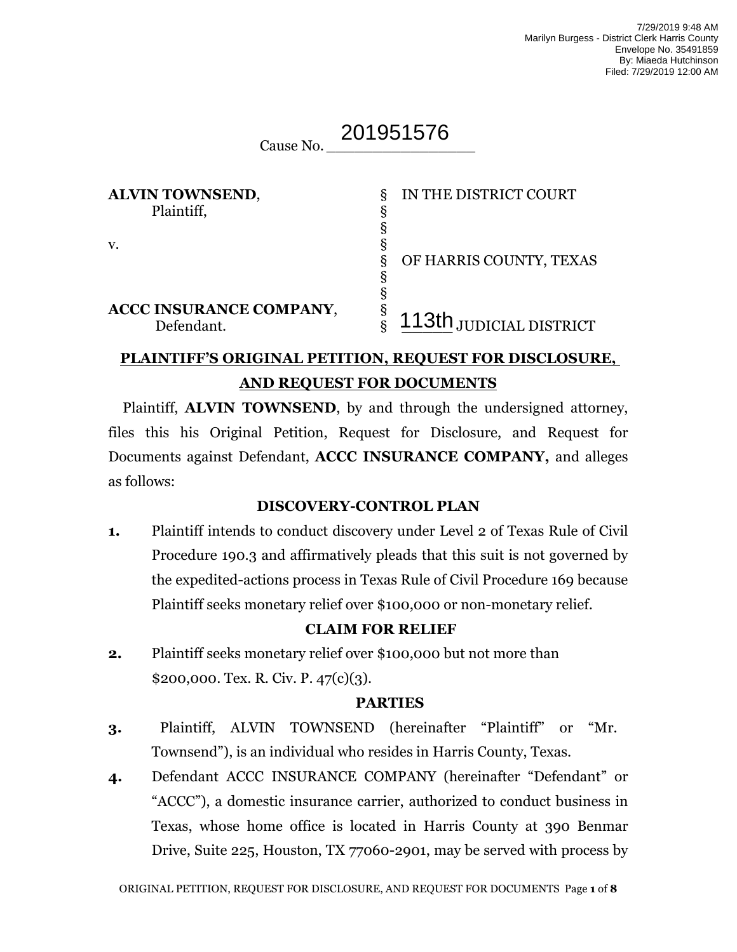#### Cause No. *\_\_\_\_\_\_\_\_\_\_\_\_\_\_\_\_* 201951576

| <b>ALVIN TOWNSEND,</b>  | δ | IN THE DISTRICT COURT   |
|-------------------------|---|-------------------------|
| Plaintiff,              |   |                         |
|                         |   |                         |
| v.                      |   |                         |
|                         | δ | OF HARRIS COUNTY, TEXAS |
|                         |   |                         |
|                         |   |                         |
| ACCC INSURANCE COMPANY, | 8 |                         |
| Defendant.              |   | 113th JUDICIAL DISTRICT |

## **PLAINTIFF'S ORIGINAL PETITION, REQUEST FOR DISCLOSURE, AND REQUEST FOR DOCUMENTS**

Plaintiff, **ALVIN TOWNSEND**, by and through the undersigned attorney, files this his Original Petition, Request for Disclosure, and Request for Documents against Defendant, **ACCC INSURANCE COMPANY,** and alleges as follows:

## **DISCOVERY-CONTROL PLAN**

**1.** Plaintiff intends to conduct discovery under Level 2 of Texas Rule of Civil Procedure 190.3 and affirmatively pleads that this suit is not governed by the expedited-actions process in Texas Rule of Civil Procedure 169 because Plaintiff seeks monetary relief over \$100,000 or non-monetary relief.

## **CLAIM FOR RELIEF**

**2.** Plaintiff seeks monetary relief over \$100,000 but not more than \$200,000. Tex. R. Civ. P. 47(c)(3).

#### **PARTIES**

- **3.** Plaintiff, ALVIN TOWNSEND (hereinafter "Plaintiff" or "Mr. Townsend"), is an individual who resides in Harris County, Texas.
- **4.** Defendant ACCC INSURANCE COMPANY (hereinafter "Defendant" or "ACCC"), a domestic insurance carrier, authorized to conduct business in Texas, whose home office is located in Harris County at 390 Benmar Drive, Suite 225, Houston, TX 77060-2901, may be served with process by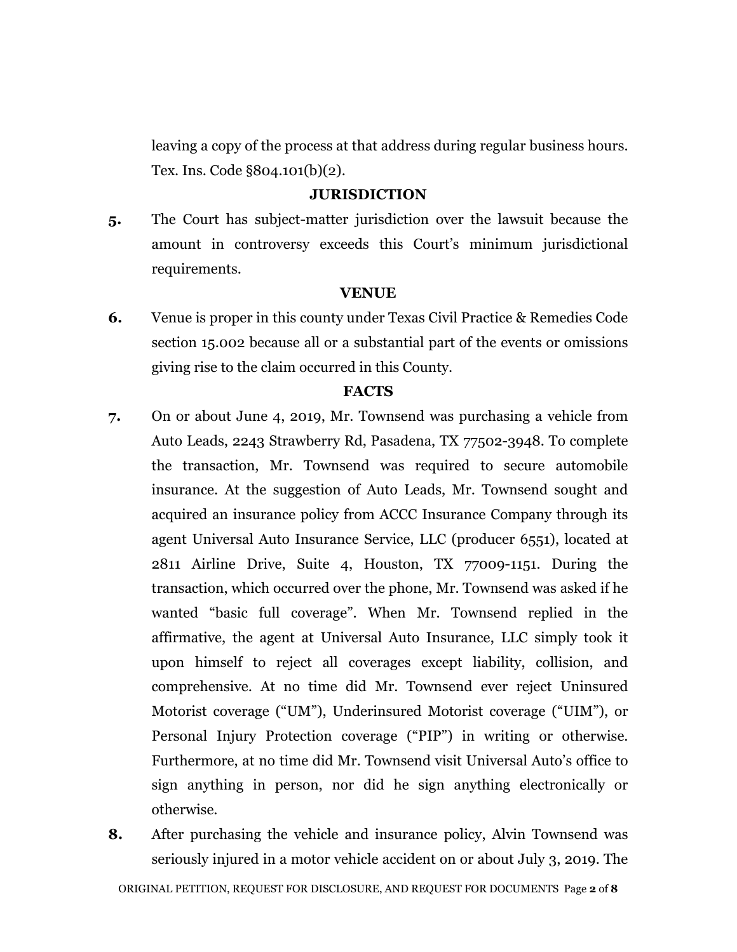leaving a copy of the process at that address during regular business hours. Tex. Ins. Code §804.101(b)(2).

## **JURISDICTION**

**5.** The Court has subject-matter jurisdiction over the lawsuit because the amount in controversy exceeds this Court's minimum jurisdictional requirements.

#### **VENUE**

**6.** Venue is proper in this county under Texas Civil Practice & Remedies Code section 15.002 because all or a substantial part of the events or omissions giving rise to the claim occurred in this County.

#### **FACTS**

- **7.** On or about June 4, 2019, Mr. Townsend was purchasing a vehicle from Auto Leads, 2243 Strawberry Rd, Pasadena, TX 77502-3948. To complete the transaction, Mr. Townsend was required to secure automobile insurance. At the suggestion of Auto Leads, Mr. Townsend sought and acquired an insurance policy from ACCC Insurance Company through its agent Universal Auto Insurance Service, LLC (producer 6551), located at 2811 Airline Drive, Suite 4, Houston, TX 77009-1151. During the transaction, which occurred over the phone, Mr. Townsend was asked if he wanted "basic full coverage". When Mr. Townsend replied in the affirmative, the agent at Universal Auto Insurance, LLC simply took it upon himself to reject all coverages except liability, collision, and comprehensive. At no time did Mr. Townsend ever reject Uninsured Motorist coverage ("UM"), Underinsured Motorist coverage ("UIM"), or Personal Injury Protection coverage ("PIP") in writing or otherwise. Furthermore, at no time did Mr. Townsend visit Universal Auto's office to sign anything in person, nor did he sign anything electronically or otherwise.
- **8.** After purchasing the vehicle and insurance policy, Alvin Townsend was seriously injured in a motor vehicle accident on or about July 3, 2019. The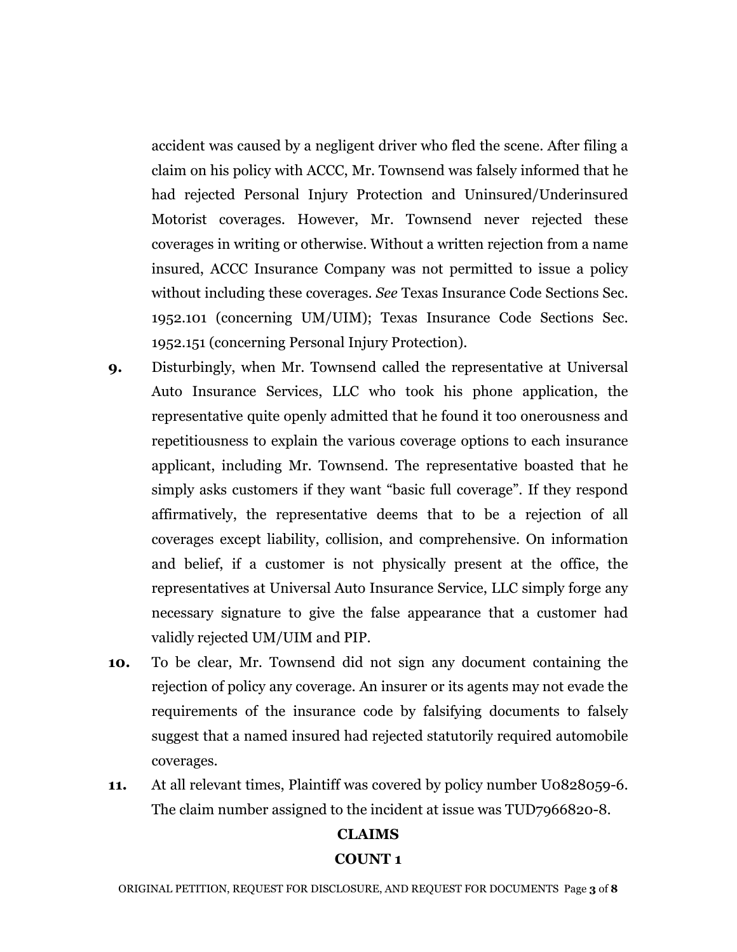accident was caused by a negligent driver who fled the scene. After filing a claim on his policy with ACCC, Mr. Townsend was falsely informed that he had rejected Personal Injury Protection and Uninsured/Underinsured Motorist coverages. However, Mr. Townsend never rejected these coverages in writing or otherwise. Without a written rejection from a name insured, ACCC Insurance Company was not permitted to issue a policy without including these coverages. *See* Texas Insurance Code Sections Sec. 1952.101 (concerning UM/UIM); Texas Insurance Code Sections Sec. 1952.151 (concerning Personal Injury Protection).

- **9.** Disturbingly, when Mr. Townsend called the representative at Universal Auto Insurance Services, LLC who took his phone application, the representative quite openly admitted that he found it too onerousness and repetitiousness to explain the various coverage options to each insurance applicant, including Mr. Townsend. The representative boasted that he simply asks customers if they want "basic full coverage". If they respond affirmatively, the representative deems that to be a rejection of all coverages except liability, collision, and comprehensive. On information and belief, if a customer is not physically present at the office, the representatives at Universal Auto Insurance Service, LLC simply forge any necessary signature to give the false appearance that a customer had validly rejected UM/UIM and PIP.
- **10.** To be clear, Mr. Townsend did not sign any document containing the rejection of policy any coverage. An insurer or its agents may not evade the requirements of the insurance code by falsifying documents to falsely suggest that a named insured had rejected statutorily required automobile coverages.
- **11.** At all relevant times, Plaintiff was covered by policy number U0828059-6. The claim number assigned to the incident at issue was TUD7966820-8.

# **CLAIMS COUNT 1**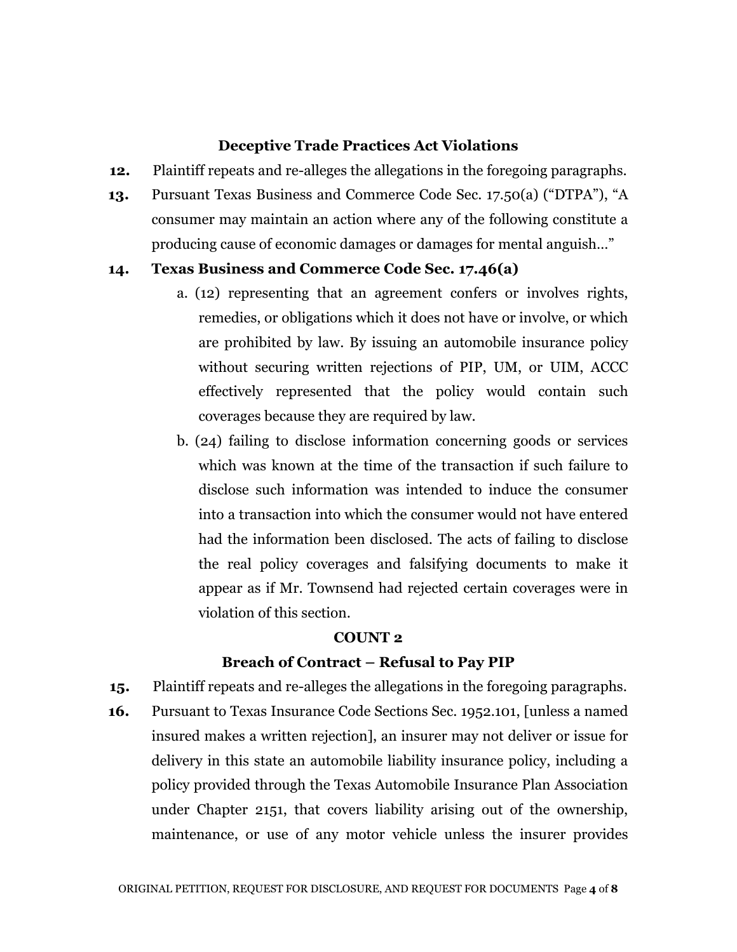### **Deceptive Trade Practices Act Violations**

- **12.** Plaintiff repeats and re-alleges the allegations in the foregoing paragraphs.
- **13.** Pursuant Texas Business and Commerce Code Sec. 17.50(a) ("DTPA"), "A consumer may maintain an action where any of the following constitute a producing cause of economic damages or damages for mental anguish…"

#### **14. Texas Business and Commerce Code Sec. 17.46(a)**

- a. (12) representing that an agreement confers or involves rights, remedies, or obligations which it does not have or involve, or which are prohibited by law. By issuing an automobile insurance policy without securing written rejections of PIP, UM, or UIM, ACCC effectively represented that the policy would contain such coverages because they are required by law.
- b. (24) failing to disclose information concerning goods or services which was known at the time of the transaction if such failure to disclose such information was intended to induce the consumer into a transaction into which the consumer would not have entered had the information been disclosed. The acts of failing to disclose the real policy coverages and falsifying documents to make it appear as if Mr. Townsend had rejected certain coverages were in violation of this section.

#### **COUNT 2**

#### **Breach of Contract – Refusal to Pay PIP**

- **15.** Plaintiff repeats and re-alleges the allegations in the foregoing paragraphs.
- **16.** Pursuant to Texas Insurance Code Sections Sec. 1952.101, [unless a named insured makes a written rejection], an insurer may not deliver or issue for delivery in this state an automobile liability insurance policy, including a policy provided through the Texas Automobile Insurance Plan Association under Chapter 2151, that covers liability arising out of the ownership, maintenance, or use of any motor vehicle unless the insurer provides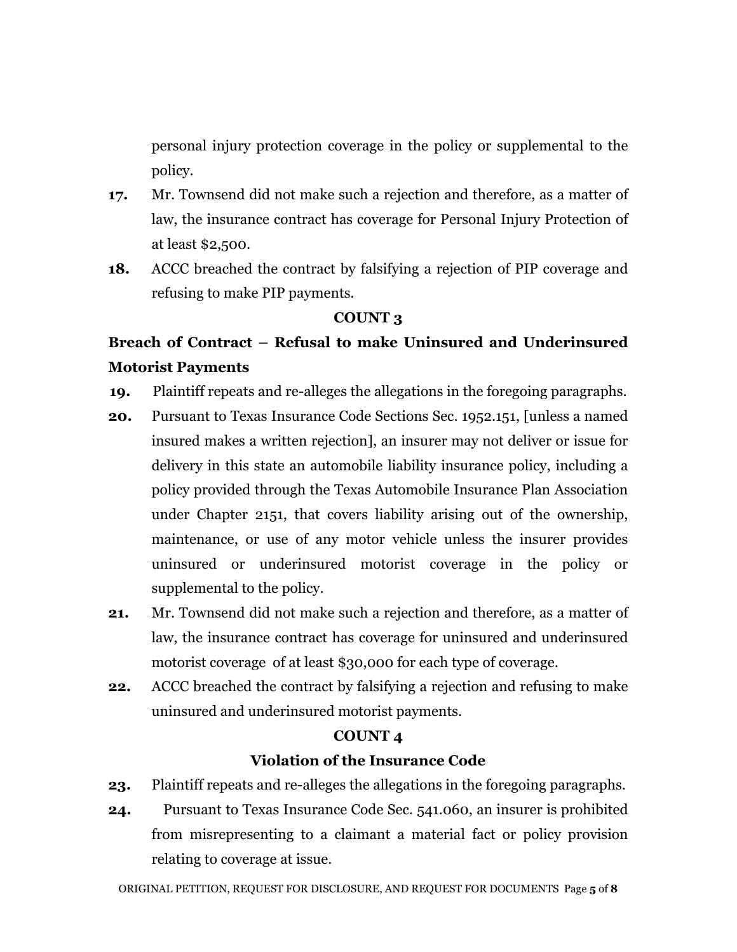personal injury protection coverage in the policy or supplemental to the policy.

- **17.** Mr. Townsend did not make such a rejection and therefore, as a matter of law, the insurance contract has coverage for Personal Injury Protection of at least \$2,500.
- **18.** ACCC breached the contract by falsifying a rejection of PIP coverage and refusing to make PIP payments.

## **COUNT 3**

# **Breach of Contract – Refusal to make Uninsured and Underinsured Motorist Payments**

- **19.** Plaintiff repeats and re-alleges the allegations in the foregoing paragraphs.
- **20.** Pursuant to Texas Insurance Code Sections Sec. 1952.151, [unless a named insured makes a written rejection], an insurer may not deliver or issue for delivery in this state an automobile liability insurance policy, including a policy provided through the Texas Automobile Insurance Plan Association under Chapter 2151, that covers liability arising out of the ownership, maintenance, or use of any motor vehicle unless the insurer provides uninsured or underinsured motorist coverage in the policy or supplemental to the policy.
- **21.** Mr. Townsend did not make such a rejection and therefore, as a matter of law, the insurance contract has coverage for uninsured and underinsured motorist coverage of at least \$30,000 for each type of coverage.
- **22.** ACCC breached the contract by falsifying a rejection and refusing to make uninsured and underinsured motorist payments.

## **COUNT 4**

## **Violation of the Insurance Code**

- **23.** Plaintiff repeats and re-alleges the allegations in the foregoing paragraphs.
- **24.** Pursuant to Texas Insurance Code Sec. 541.060, an insurer is prohibited from misrepresenting to a claimant a material fact or policy provision relating to coverage at issue.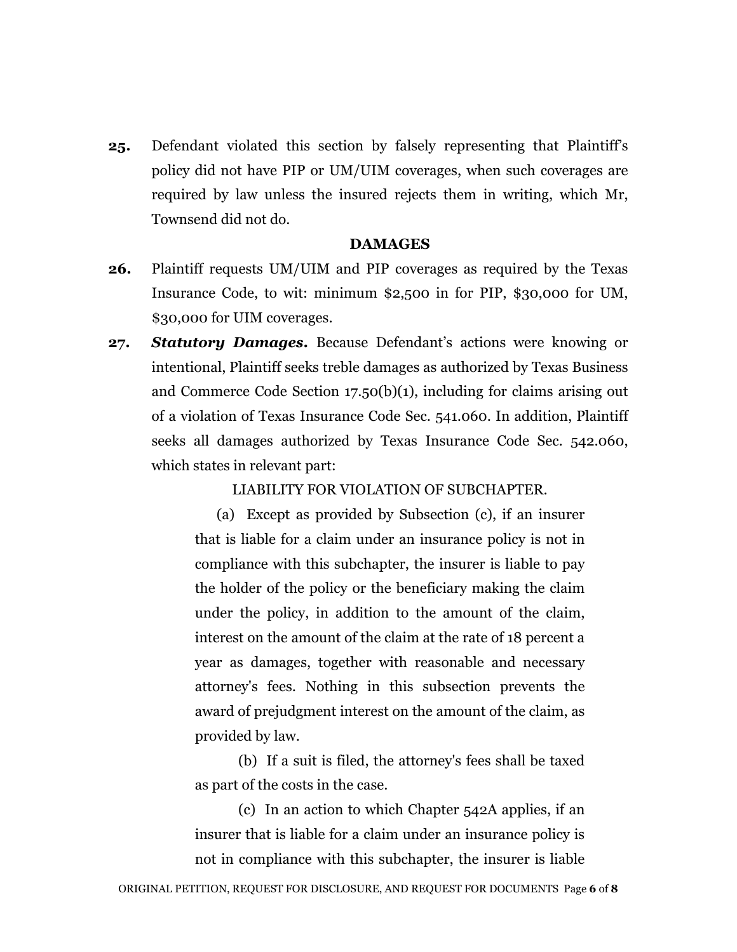**25.** Defendant violated this section by falsely representing that Plaintiff's policy did not have PIP or UM/UIM coverages, when such coverages are required by law unless the insured rejects them in writing, which Mr, Townsend did not do.

#### **DAMAGES**

- **26.** Plaintiff requests UM/UIM and PIP coverages as required by the Texas Insurance Code, to wit: minimum \$2,500 in for PIP, \$30,000 for UM, \$30,000 for UIM coverages.
- **27.** *Statutory Damages***.** Because Defendant's actions were knowing or intentional, Plaintiff seeks treble damages as authorized by Texas Business and Commerce Code Section 17.50(b)(1), including for claims arising out of a violation of Texas Insurance Code Sec. 541.060. In addition, Plaintiff seeks all damages authorized by Texas Insurance Code Sec. 542.060, which states in relevant part:

LIABILITY FOR VIOLATION OF SUBCHAPTER.

(a) Except as provided by Subsection (c), if an insurer that is liable for a claim under an insurance policy is not in compliance with this subchapter, the insurer is liable to pay the holder of the policy or the beneficiary making the claim under the policy, in addition to the amount of the claim, interest on the amount of the claim at the rate of 18 percent a year as damages, together with reasonable and necessary attorney's fees. Nothing in this subsection prevents the award of prejudgment interest on the amount of the claim, as provided by law.

(b) If a suit is filed, the attorney's fees shall be taxed as part of the costs in the case.

(c) In an action to which Chapter 542A applies, if an insurer that is liable for a claim under an insurance policy is not in compliance with this subchapter, the insurer is liable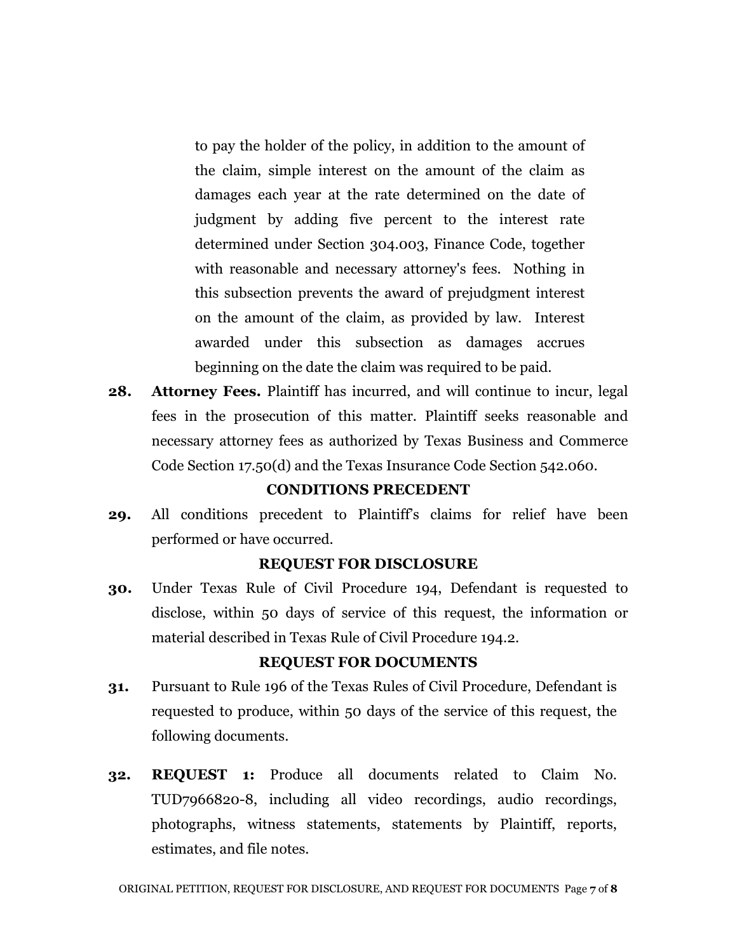to pay the holder of the policy, in addition to the amount of the claim, simple interest on the amount of the claim as damages each year at the rate determined on the date of judgment by adding five percent to the interest rate determined under Section 304.003, Finance Code, together with reasonable and necessary attorney's fees. Nothing in this subsection prevents the award of prejudgment interest on the amount of the claim, as provided by law. Interest awarded under this subsection as damages accrues beginning on the date the claim was required to be paid.

**28. Attorney Fees.** Plaintiff has incurred, and will continue to incur, legal fees in the prosecution of this matter. Plaintiff seeks reasonable and necessary attorney fees as authorized by Texas Business and Commerce Code Section 17.50(d) and the Texas Insurance Code Section 542.060.

## **CONDITIONS PRECEDENT**

**29.** All conditions precedent to Plaintiff's claims for relief have been performed or have occurred.

#### **REQUEST FOR DISCLOSURE**

**30.** Under Texas Rule of Civil Procedure 194, Defendant is requested to disclose, within 50 days of service of this request, the information or material described in Texas Rule of Civil Procedure 194.2.

#### **REQUEST FOR DOCUMENTS**

- **31.** Pursuant to Rule 196 of the Texas Rules of Civil Procedure, Defendant is requested to produce, within 50 days of the service of this request, the following documents.
- **32. REQUEST 1:** Produce all documents related to Claim No. TUD7966820-8, including all video recordings, audio recordings, photographs, witness statements, statements by Plaintiff, reports, estimates, and file notes.